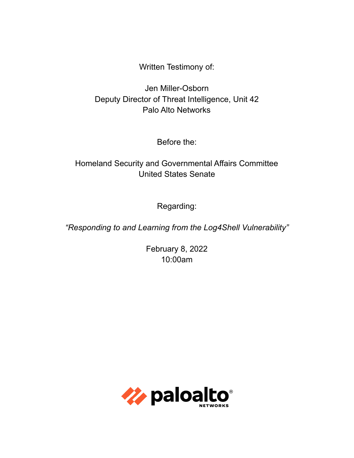Written Testimony of:

Jen Miller-Osborn Deputy Director of Threat Intelligence, Unit 42 Palo Alto Networks

Before the:

Homeland Security and Governmental Affairs Committee United States Senate

Regarding:

*"Responding to and Learning from the Log4Shell Vulnerability"*

February 8, 2022 10:00am

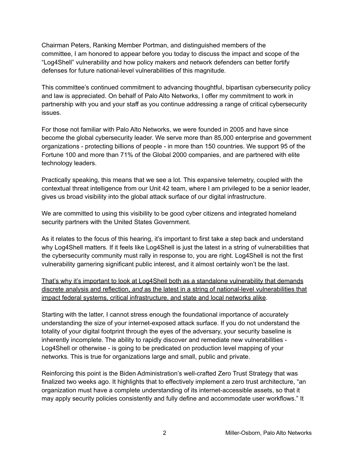Chairman Peters, Ranking Member Portman, and distinguished members of the committee, I am honored to appear before you today to discuss the impact and scope of the "Log4Shell" vulnerability and how policy makers and network defenders can better fortify defenses for future national-level vulnerabilities of this magnitude.

This committee's continued commitment to advancing thoughtful, bipartisan cybersecurity policy and law is appreciated. On behalf of Palo Alto Networks, I offer my commitment to work in partnership with you and your staff as you continue addressing a range of critical cybersecurity issues.

For those not familiar with Palo Alto Networks, we were founded in 2005 and have since become the global cybersecurity leader. We serve more than 85,000 enterprise and government organizations - protecting billions of people - in more than 150 countries. We support 95 of the Fortune 100 and more than 71% of the Global 2000 companies, and are partnered with elite technology leaders.

Practically speaking, this means that we see a lot. This expansive telemetry, coupled with the contextual threat intelligence from our Unit 42 team, where I am privileged to be a senior leader, gives us broad visibility into the global attack surface of our digital infrastructure.

We are committed to using this visibility to be good cyber citizens and integrated homeland security partners with the United States Government.

As it relates to the focus of this hearing, it's important to first take a step back and understand why Log4Shell matters. If it feels like Log4Shell is just the latest in a string of vulnerabilities that the cybersecurity community must rally in response to, you are right. Log4Shell is not the first vulnerability garnering significant public interest, and it almost certainly won't be the last.

That's why it's important to look at Log4Shell both as a standalone vulnerability that demands discrete analysis and reflection, *and* as the latest in a string of national-level vulnerabilities that impact federal systems, critical infrastructure, and state and local networks alike.

Starting with the latter, I cannot stress enough the foundational importance of accurately understanding the size of your internet-exposed attack surface. If you do not understand the totality of your digital footprint through the eyes of the adversary, your security baseline is inherently incomplete. The ability to rapidly discover and remediate new vulnerabilities - Log4Shell or otherwise - is going to be predicated on production level mapping of your networks. This is true for organizations large and small, public and private.

Reinforcing this point is the Biden Administration's well-crafted Zero Trust Strategy that was finalized two weeks ago. It highlights that to effectively implement a zero trust architecture, "an organization must have a complete understanding of its internet-accessible assets, so that it may apply security policies consistently and fully define and accommodate user workflows." It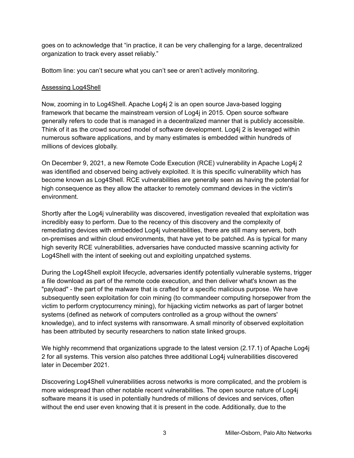goes on to acknowledge that "in practice, it can be very challenging for a large, decentralized organization to track every asset reliably."

Bottom line: you can't secure what you can't see or aren't actively monitoring.

## Assessing Log4Shell

Now, zooming in to Log4Shell. Apache Log4j 2 is an open source Java-based logging framework that became the mainstream version of Log4j in 2015. Open source software generally refers to code that is managed in a decentralized manner that is publicly accessible. Think of it as the crowd sourced model of software development. Log4j 2 is leveraged within numerous software applications, and by many estimates is embedded within hundreds of millions of devices globally.

On December 9, 2021, a new Remote Code Execution (RCE) vulnerability in Apache Log4j 2 was identified and observed being actively exploited. It is this specific vulnerability which has become known as Log4Shell. RCE vulnerabilities are generally seen as having the potential for high consequence as they allow the attacker to remotely command devices in the victim's environment.

Shortly after the Log4j vulnerability was discovered, investigation revealed that exploitation was incredibly easy to perform. Due to the recency of this discovery and the complexity of remediating devices with embedded Log4j vulnerabilities, there are still many servers, both on-premises and within cloud environments, that have yet to be patched. As is typical for many high severity RCE vulnerabilities, adversaries have conducted massive scanning activity for Log4Shell with the intent of seeking out and exploiting unpatched systems.

During the Log4Shell exploit lifecycle, adversaries identify potentially vulnerable systems, trigger a file download as part of the remote code execution, and then deliver what's known as the "payload" - the part of the malware that is crafted for a specific malicious purpose. We have subsequently seen exploitation for coin mining (to commandeer computing horsepower from the victim to perform cryptocurrency mining), for hijacking victim networks as part of larger botnet systems (defined as network of computers controlled as a group without the owners' knowledge), and to infect systems with ransomware. A small minority of observed exploitation has been attributed by security researchers to nation state linked groups.

We highly recommend that organizations upgrade to the latest version (2.17.1) of Apache Log4i 2 for all systems. This version also patches three additional Log4j vulnerabilities discovered later in December 2021.

Discovering Log4Shell vulnerabilities across networks is more complicated, and the problem is more widespread than other notable recent vulnerabilities. The open source nature of Log4j software means it is used in potentially hundreds of millions of devices and services, often without the end user even knowing that it is present in the code. Additionally, due to the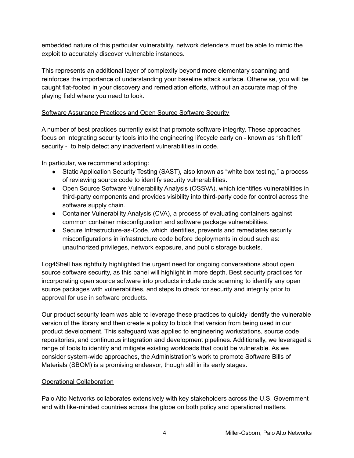embedded nature of this particular vulnerability, network defenders must be able to mimic the exploit to accurately discover vulnerable instances.

This represents an additional layer of complexity beyond more elementary scanning and reinforces the importance of understanding your baseline attack surface. Otherwise, you will be caught flat-footed in your discovery and remediation efforts, without an accurate map of the playing field where you need to look.

## Software Assurance Practices and Open Source Software Security

A number of best practices currently exist that promote software integrity. These approaches focus on integrating security tools into the engineering lifecycle early on - known as "shift left" security - to help detect any inadvertent vulnerabilities in code.

In particular, we recommend adopting:

- Static Application Security Testing (SAST), also known as "white box testing," a process of reviewing source code to identify security vulnerabilities.
- Open Source Software Vulnerability Analysis (OSSVA), which identifies vulnerabilities in third-party components and provides visibility into third-party code for control across the software supply chain.
- Container Vulnerability Analysis (CVA), a process of evaluating containers against common container misconfiguration and software package vulnerabilities.
- Secure Infrastructure-as-Code, which identifies, prevents and remediates security misconfigurations in infrastructure code before deployments in cloud such as: unauthorized privileges, network exposure, and public storage buckets.

Log4Shell has rightfully highlighted the urgent need for ongoing conversations about open source software security, as this panel will highlight in more depth. Best security practices for incorporating open source software into products include code scanning to identify any open source packages with vulnerabilities, and steps to check for security and integrity prior to approval for use in software products.

Our product security team was able to leverage these practices to quickly identify the vulnerable version of the library and then create a policy to block that version from being used in our product development. This safeguard was applied to engineering workstations, source code repositories, and continuous integration and development pipelines. Additionally, we leveraged a range of tools to identify and mitigate existing workloads that could be vulnerable. As we consider system-wide approaches, the Administration's work to promote Software Bills of Materials (SBOM) is a promising endeavor, though still in its early stages.

#### Operational Collaboration

Palo Alto Networks collaborates extensively with key stakeholders across the U.S. Government and with like-minded countries across the globe on both policy and operational matters.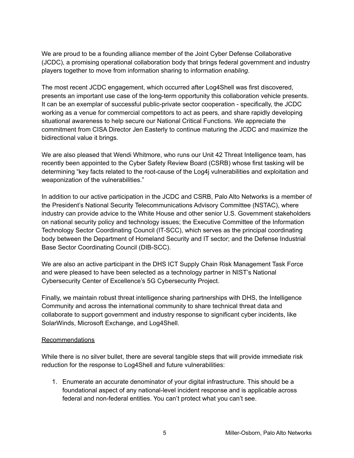We are proud to be a founding alliance member of the Joint Cyber Defense Collaborative (JCDC), a promising operational collaboration body that brings federal government and industry players together to move from information sharing to information *enabling*.

The most recent JCDC engagement, which occurred after Log4Shell was first discovered, presents an important use case of the long-term opportunity this collaboration vehicle presents. It can be an exemplar of successful public-private sector cooperation - specifically, the JCDC working as a venue for commercial competitors to act as peers, and share rapidly developing situational awareness to help secure our National Critical Functions. We appreciate the commitment from CISA Director Jen Easterly to continue maturing the JCDC and maximize the bidirectional value it brings.

We are also pleased that Wendi Whitmore, who runs our Unit 42 Threat Intelligence team, has recently been appointed to the Cyber Safety Review Board (CSRB) whose first tasking will be determining "key facts related to the root-cause of the Log4j vulnerabilities and exploitation and weaponization of the vulnerabilities."

In addition to our active participation in the JCDC and CSRB, Palo Alto Networks is a member of the President's National Security Telecommunications Advisory Committee (NSTAC), where industry can provide advice to the White House and other senior U.S. Government stakeholders on national security policy and technology issues; the Executive Committee of the Information Technology Sector Coordinating Council (IT-SCC), which serves as the principal coordinating body between the Department of Homeland Security and IT sector; and the Defense Industrial Base Sector Coordinating Council (DIB-SCC).

We are also an active participant in the DHS ICT Supply Chain Risk Management Task Force and were pleased to have been selected as a technology partner in NIST's National Cybersecurity Center of Excellence's 5G Cybersecurity Project.

Finally, we maintain robust threat intelligence sharing partnerships with DHS, the Intelligence Community and across the international community to share technical threat data and collaborate to support government and industry response to significant cyber incidents, like SolarWinds, Microsoft Exchange, and Log4Shell.

#### Recommendations

While there is no silver bullet, there are several tangible steps that will provide immediate risk reduction for the response to Log4Shell and future vulnerabilities:

1. Enumerate an accurate denominator of your digital infrastructure. This should be a foundational aspect of any national-level incident response and is applicable across federal and non-federal entities. You can't protect what you can't see.